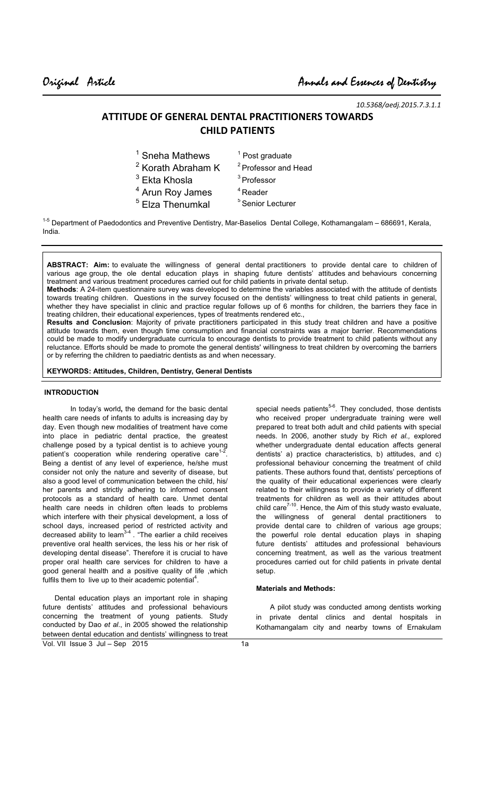*10.5368/aedj.2015.7.3.1.1* 

# **ATTITUDE OF GENERAL DENTAL PRACTITIONERS TOWARDS CHILD PATIENTS**

| $1$ Sneha Mathews             | $1$ Post graduate               |
|-------------------------------|---------------------------------|
| <sup>2</sup> Korath Abraham K | <sup>2</sup> Professor and Head |
| $3$ Ekta Khosla               | <sup>3</sup> Professor          |
| <sup>4</sup> Arun Roy James   | $4$ Reader                      |
| <sup>5</sup> Elza Thenumkal   | <sup>5</sup> Senior Lecturer    |
|                               |                                 |

<sup>1-5</sup> Department of Paedodontics and Preventive Dentistry, Mar-Baselios Dental College, Kothamangalam – 686691, Kerala, India.

**ABSTRACT: Aim:** to evaluate the willingness of general dental practitioners to provide dental care to children of various age group, the ole dental education plays in shaping future dentists' attitudes and behaviours concerning treatment and various treatment procedures carried out for child patients in private dental setup.

**Methods**: A 24-item questionnaire survey was developed to determine the variables associated with the attitude of dentists towards treating children. Questions in the survey focused on the dentists' willingness to treat child patients in general, whether they have specialist in clinic and practice regular follows up of 6 months for children, the barriers they face in treating children, their educational experiences, types of treatments rendered etc.,

**Results and Conclusion**: Majority of private practitioners participated in this study treat children and have a positive attitude towards them, even though time consumption and financial constraints was a major barrier. Recommendations could be made to modify undergraduate curricula to encourage dentists to provide treatment to child patients without any reluctance. Efforts should be made to promote the general dentists' willingness to treat children by overcoming the barriers or by referring the children to paediatric dentists as and when necessary.

# **KEYWORDS: Attitudes, Children, Dentistry, General Dentists**

### **INTRODUCTION**

 In today's world**,** the demand for the basic dental health care needs of infants to adults is increasing day by day. Even though new modalities of treatment have come into place in pediatric dental practice, the greatest challenge posed by a typical dentist is to achieve young patient's cooperation while rendering operative care<sup>1-2</sup> . Being a dentist of any level of experience, he/she must consider not only the nature and severity of disease, but also a good level of communication between the child, his/ her parents and strictly adhering to informed consent protocols as a standard of health care. Unmet dental health care needs in children often leads to problems which interfere with their physical development, a loss of school days, increased period of restricted activity and decreased ability to learn<sup>3-4</sup>. "The earlier a child receives preventive oral health services, the less his or her risk of developing dental disease". Therefore it is crucial to have proper oral health care services for children to have a good general health and a positive quality of life ,which fulfils them to live up to their academic potential<sup>4</sup>.

Vol. VII Issue 3 Jul – Sep 2015 Dental education plays an important role in shaping future dentists' attitudes and professional behaviours concerning the treatment of young patients. Study conducted by Dao *et al*., in 2005 showed the relationship between dental education and dentists' willingness to treat

special needs patients<sup>5-6</sup>. They concluded, those dentists who received proper undergraduate training were well prepared to treat both adult and child patients with special needs. In 2006, another study by Rich *et al.,* explored whether undergraduate dental education affects general dentists' a) practice characteristics, b) attitudes, and c) professional behaviour concerning the treatment of child patients. These authors found that, dentists' perceptions of the quality of their educational experiences were clearly related to their willingness to provide a variety of different treatments for children as well as their attitudes about child care $7-10$ . Hence, the Aim of this study wasto evaluate, the willingness of general dental practitioners to provide dental care to children of various age groups; the powerful role dental education plays in shaping future dentists' attitudes and professional behaviours concerning treatment, as well as the various treatment procedures carried out for child patients in private dental setup.

# **Materials and Methods:**

 A pilot study was conducted among dentists working in private dental clinics and dental hospitals in Kothamangalam city and nearby towns of Ernakulam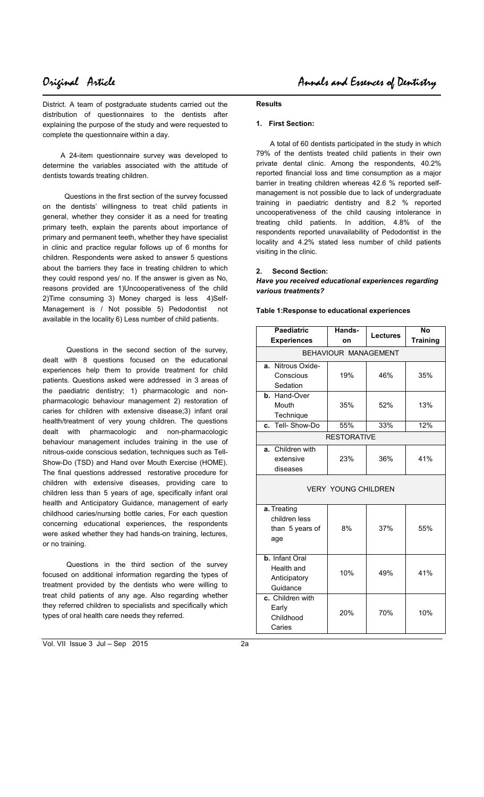District. A team of postgraduate students carried out the distribution of questionnaires to the dentists after explaining the purpose of the study and were requested to complete the questionnaire within a day.

 A 24-item questionnaire survey was developed to determine the variables associated with the attitude of dentists towards treating children.

 Questions in the first section of the survey focussed on the dentists' willingness to treat child patients in general, whether they consider it as a need for treating primary teeth, explain the parents about importance of primary and permanent teeth, whether they have specialist in clinic and practice regular follows up of 6 months for children. Respondents were asked to answer 5 questions about the barriers they face in treating children to which they could respond yes/ no. If the answer is given as No, reasons provided are 1)Uncooperativeness of the child 2)Time consuming 3) Money charged is less 4)Self-Management is / Not possible 5) Pedodontist not available in the locality 6) Less number of child patients.

 Questions in the second section of the survey, dealt with 8 questions focused on the educational experiences help them to provide treatment for child patients. Questions asked were addressed in 3 areas of the paediatric dentistry; 1) pharmacologic and nonpharmacologic behaviour management 2) restoration of caries for children with extensive disease;3) infant oral health/treatment of very young children. The questions dealt with pharmacologic and non-pharmacologic behaviour management includes training in the use of nitrous-oxide conscious sedation, techniques such as Tell-Show-Do (TSD) and Hand over Mouth Exercise (HOME). The final questions addressed restorative procedure for children with extensive diseases, providing care to children less than 5 years of age, specifically infant oral health and Anticipatory Guidance, management of early childhood caries/nursing bottle caries, For each question concerning educational experiences, the respondents were asked whether they had hands-on training, lectures, or no training.

 Questions in the third section of the survey focused on additional information regarding the types of treatment provided by the dentists who were willing to treat child patients of any age. Also regarding whether they referred children to specialists and specifically which types of oral health care needs they referred.

Vol. VII Issue 3 Jul – Sep 2015 2a

### **Results**

## **1. First Section:**

 A total of 60 dentists participated in the study in which 79% of the dentists treated child patients in their own private dental clinic. Among the respondents, 40.2% reported financial loss and time consumption as a major barrier in treating children whereas 42.6 % reported selfmanagement is not possible due to lack of undergraduate training in paediatric dentistry and 8.2 % reported uncooperativeness of the child causing intolerance in treating child patients. In addition, 4.8% of the respondents reported unavailability of Pedodontist in the locality and 4.2% stated less number of child patients visiting in the clinic.

### **2. Second Section:**

*Have you received educational experiences regarding various treatments?* 

**Table 1:Response to educational experiences** 

| <b>Paediatric</b><br><b>Experiences</b>                  | Hands-<br>on | <b>Lectures</b> | <b>No</b><br><b>Training</b> |  |
|----------------------------------------------------------|--------------|-----------------|------------------------------|--|
| BEHAVIOUR MANAGEMENT                                     |              |                 |                              |  |
| a. Nitrous Oxide-<br>Conscious<br>Sedation               | 19%          | 46%             | 35%                          |  |
| b. Hand-Over<br>Mouth<br>Technique                       | 35%          | 52%             | 13%                          |  |
| Tell-Show-Do<br>C.                                       | 55%          | 33%             | 12%                          |  |
| <b>RESTORATIVE</b>                                       |              |                 |                              |  |
| a. Children with<br>extensive<br>diseases                | 23%          | 36%             | 41%                          |  |
| <b>VERY YOUNG CHILDREN</b>                               |              |                 |                              |  |
| a. Treating<br>children less<br>than 5 years of<br>age   | 8%           | 37%             | 55%                          |  |
| b. Infant Oral<br>Health and<br>Anticipatory<br>Guidance | 10%          | 49%             | 41%                          |  |
| c. Children with<br>Early<br>Childhood<br>Caries         | 20%          | 70%             | 10%                          |  |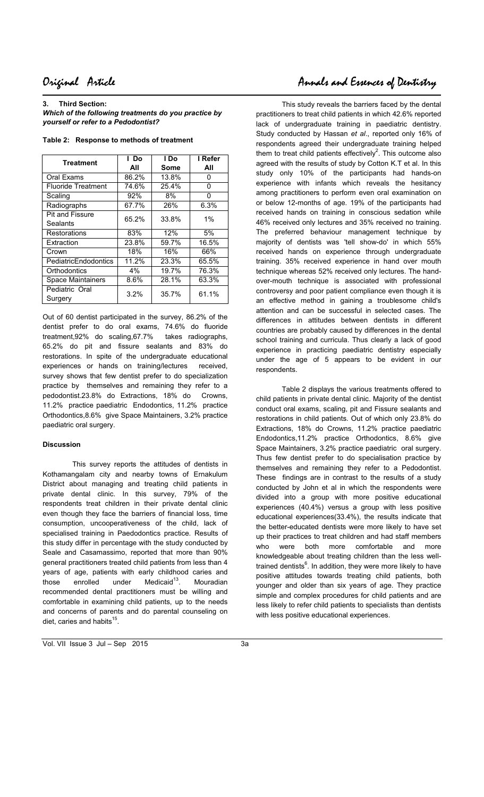**3. Third Section:** 

 $\overline{\phantom{a}}$ 

*Which of the following treatments do you practice by yourself or refer to a Pedodontist?* 

| <b>Treatment</b>          | l Do  | l Do  | I Refer |
|---------------------------|-------|-------|---------|
|                           | All   | Some  | All     |
| Oral Exams                | 86.2% | 13.8% | 0       |
| <b>Fluoride Treatment</b> | 74.6% | 25.4% | 0       |
| Scaling                   | 92%   | 8%    | 0       |
| Radiographs               | 67.7% | 26%   | 6.3%    |
| Pit and Fissure           | 65.2% | 33.8% | $1\%$   |
| Sealants                  |       |       |         |
| Restorations              | 83%   | 12%   | 5%      |
| Extraction                | 23.8% | 59.7% | 16.5%   |
| Crown                     | 18%   | 16%   | 66%     |
| PediatricEndodontics      | 11.2% | 23.3% | 65.5%   |
| Orthodontics              | 4%    | 19.7% | 76.3%   |
| Space Maintainers         | 8.6%  | 28.1% | 63.3%   |
| Pediatric Oral            | 3.2%  | 35.7% | 61.1%   |
| Surgery                   |       |       |         |

**Table 2: Response to methods of treatment** 

Out of 60 dentist participated in the survey, 86.2% of the dentist prefer to do oral exams, 74.6% do fluoride treatment,92% do scaling,67.7% takes radiographs, 65.2% do pit and fissure sealants and 83% do restorations. In spite of the undergraduate educational experiences or hands on training/lectures received, survey shows that few dentist prefer to do specialization practice by themselves and remaining they refer to a pedodontist.23.8% do Extractions, 18% do Crowns, 11.2% practice paediatric Endodontics, 11.2% practice Orthodontics,8.6% give Space Maintainers, 3.2% practice paediatric oral surgery.

# **Discussion**

 This survey reports the attitudes of dentists in Kothamangalam city and nearby towns of Ernakulum District about managing and treating child patients in private dental clinic. In this survey, 79% of the respondents treat children in their private dental clinic even though they face the barriers of financial loss, time consumption, uncooperativeness of the child, lack of specialised training in Paedodontics practice. Results of this study differ in percentage with the study conducted by Seale and Casamassimo, reported that more than 90% general practitioners treated child patients from less than 4 years of age, patients with early childhood caries and those enrolled under Medicaid $13$ . Mouradian recommended dental practitioners must be willing and comfortable in examining child patients, up to the needs and concerns of parents and do parental counseling on diet, caries and habits<sup>15</sup>.

 This study reveals the barriers faced by the dental practitioners to treat child patients in which 42.6% reported lack of undergraduate training in paediatric dentistry. Study conducted by Hassan *et al*., reported only 16% of respondents agreed their undergraduate training helped them to treat child patients effectively<sup>2</sup>. This outcome also agreed with the results of study by Cotton K.T et al. In this study only 10% of the participants had hands-on experience with infants which reveals the hesitancy among practitioners to perform even oral examination on or below 12-months of age. 19% of the participants had received hands on training in conscious sedation while 46% received only lectures and 35% received no training. The preferred behaviour management technique by majority of dentists was 'tell show-do' in which 55% received hands on experience through undergraduate training. 35% received experience in hand over mouth technique whereas 52% received only lectures. The handover-mouth technique is associated with professional controversy and poor patient compliance even though it is an effective method in gaining a troublesome child's attention and can be successful in selected cases. The differences in attitudes between dentists in different countries are probably caused by differences in the dental school training and curricula. Thus clearly a lack of good experience in practicing paediatric dentistry especially under the age of 5 appears to be evident in our respondents.

 Table 2 displays the various treatments offered to child patients in private dental clinic. Majority of the dentist conduct oral exams, scaling, pit and Fissure sealants and restorations in child patients. Out of which only 23.8% do Extractions, 18% do Crowns, 11.2% practice paediatric Endodontics,11.2% practice Orthodontics, 8.6% give Space Maintainers, 3.2% practice paediatric oral surgery. Thus few dentist prefer to do specialisation practice by themselves and remaining they refer to a Pedodontist. These findings are in contrast to the results of a study conducted by John et al in which the respondents were divided into a group with more positive educational experiences (40.4%) versus a group with less positive educational experiences(33.4%), the results indicate that the better-educated dentists were more likely to have set up their practices to treat children and had staff members who were both more comfortable and more knowledgeable about treating children than the less welltrained dentists $^6$ . In addition, they were more likely to have positive attitudes towards treating child patients, both younger and older than six years of age. They practice simple and complex procedures for child patients and are less likely to refer child patients to specialists than dentists with less positive educational experiences.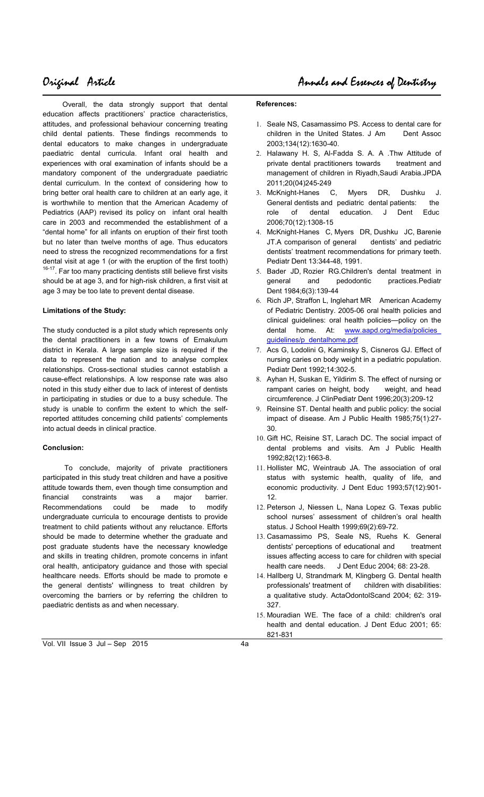Overall, the data strongly support that dental education affects practitioners' practice characteristics, attitudes, and professional behaviour concerning treating child dental patients. These findings recommends to dental educators to make changes in undergraduate paediatric dental curricula. Infant oral health and experiences with oral examination of infants should be a mandatory component of the undergraduate paediatric dental curriculum. In the context of considering how to bring better oral health care to children at an early age, it is worthwhile to mention that the American Academy of Pediatrics (AAP) revised its policy on infant oral health care in 2003 and recommended the establishment of a "dental home" for all infants on eruption of their first tooth but no later than twelve months of age. Thus educators need to stress the recognized recommendations for a first dental visit at age 1 (or with the eruption of the first tooth) <sup>16-17</sup>. Far too many practicing dentists still believe first visits should be at age 3, and for high-risk children, a first visit at age 3 may be too late to prevent dental disease.

# **Limitations of the Study:**

The study conducted is a pilot study which represents only the dental practitioners in a few towns of Ernakulum district in Kerala. A large sample size is required if the data to represent the nation and to analyse complex relationships. Cross-sectional studies cannot establish a cause-effect relationships. A low response rate was also noted in this study either due to lack of interest of dentists in participating in studies or due to a busy schedule. The study is unable to confirm the extent to which the selfreported attitudes concerning child patients' complements into actual deeds in clinical practice.

# **Conclusion:**

 To conclude, majority of private practitioners participated in this study treat children and have a positive attitude towards them, even though time consumption and financial constraints was a major barrier. Recommendations could be made to modify undergraduate curricula to encourage dentists to provide treatment to child patients without any reluctance. Efforts should be made to determine whether the graduate and post graduate students have the necessary knowledge and skills in treating children, promote concerns in infant oral health, anticipatory guidance and those with special healthcare needs. Efforts should be made to promote e the general dentists' willingness to treat children by overcoming the barriers or by referring the children to paediatric dentists as and when necessary.

## **References:**

- 1. Seale NS, Casamassimo PS. Access to dental care for children in the United States. J Am Dent Assoc 2003;134(12):1630-40.
- 2. Halawany H. S, Al-Fadda S. A. A .Thw Attitude of private dental practitioners towards treatment and management of children in Riyadh,Saudi Arabia.JPDA 2011;20(04)245-249
- 3. McKnight-Hanes C, Myers DR, Dushku J. General dentists and pediatric dental patients: the role of dental education. J Dent Educ 2006;70(12):1308-15
- 4. McKnight-Hanes C, Myers DR, Dushku JC, Barenie JT.A comparison of general dentists' and pediatric dentists' treatment recommendations for primary teeth. Pediatr Dent 13:344-48, 1991.
- 5. Bader JD, Rozier RG.Children's dental treatment in general and pedodontic practices.Pediatr Dent 1984;6(3):139-44
- 6. Rich JP, Straffon L, Inglehart MR American Academy of Pediatric Dentistry. 2005-06 oral health policies and clinical guidelines: oral health policies—policy on the dental home. At: www.aapd.org/media/policies guidelines/p\_dentalhome.pdf
- 7. Acs G, Lodolini G, Kaminsky S, Cisneros GJ. Effect of nursing caries on body weight in a pediatric population. Pediatr Dent 1992;14:302-5.
- 8. Ayhan H, Suskan E, Yildirim S. The effect of nursing or rampant caries on height, body weight, and head circumference. J ClinPediatr Dent 1996;20(3):209-12
- Reinsine ST. Dental health and public policy: the social impact of disease. Am J Public Health 1985;75(1):27- 30.
- 10. Gift HC, Reisine ST, Larach DC. The social impact of dental problems and visits. Am J Public Health 1992;82(12):1663-8.
- 11. Hollister MC, Weintraub JA. The association of oral status with systemic health, quality of life, and economic productivity. J Dent Educ 1993;57(12):901- 12.
- 12. Peterson J, Niessen L, Nana Lopez G. Texas public school nurses' assessment of children's oral health status. J School Health 1999;69(2):69-72.
- 13. Casamassimo PS, Seale NS, Ruehs K. General dentists' perceptions of educational and treatment issues affecting access to care for children with special health care needs. J Dent Educ 2004; 68: 23-28.
- 14. Hallberg U, Strandmark M, Klingberg G. Dental health professionals' treatment of children with disabilities: a qualitative study. ActaOdontolScand 2004; 62: 319- 327.
- 15. Mouradian WE. The face of a child: children's oral health and dental education. J Dent Educ 2001; 65: 821-831